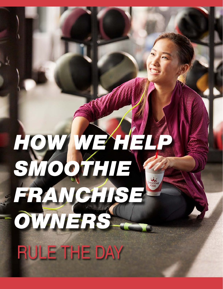# *HOW WE HELP SMOOTHIE FRANCHISE OWNERS* RULE THE DAY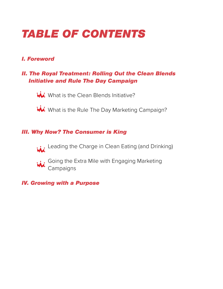# *TABLE OF CONTENTS*

## *I. Foreword*

## *II. The Royal Treatment: Rolling Out the Clean Blends Initiative and Rule The Day Campaign*

**What is the Clean Blends Initiative?** 

Wi What is the Rule The Day Marketing Campaign?

#### *III. Why Now? The Consumer is King*

Leading the Charge in Clean Eating (and Drinking)



 $\cdots$  Going the Extra Mile with Engaging Marketing **Campaigns** 

#### *IV. Growing with a Purpose*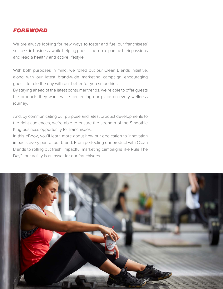#### *FOREWORD*

We are always looking for new ways to foster and fuel our franchisees' success in business, while helping guests fuel up to pursue their passions and lead a healthy and active lifestyle.

With both purposes in mind, we rolled out our Clean Blends initiative, along with our latest brand-wide marketing campaign encouraging guests to rule the day with our better-for-you smoothies.

By staying ahead of the latest consumer trends, we're able to offer guests the products they want, while cementing our place on every wellness journey.

And, by communicating our purpose and latest product developments to the right audiences, we're able to ensure the strength of the Smoothie King business opportunity for franchisees.

In this eBook, you'll learn more about how our dedication to innovation impacts every part of our brand. From perfecting our product with Clean Blends to rolling out fresh, impactful marketing campaigns like Rule The Day™, our agility is an asset for our franchisees.

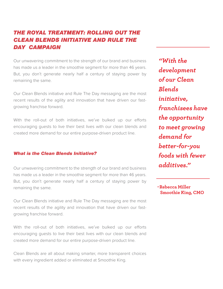## *THE ROYAL TREATMENT: ROLLING OUT THE CLEAN BLENDS INITIATIVE AND RULE THE DAY CAMPAIGN*

Our unwavering commitment to the strength of our brand and business has made us a leader in the smoothie segment for more than 46 years. But, you don't generate nearly half a century of staying power by remaining the same.

Our Clean Blends initiative and Rule The Day messaging are the most recent results of the agility and innovation that have driven our fastgrowing franchise forward.

With the roll-out of both initiatives, we've bulked up our efforts encouraging guests to live their best lives with our clean blends and created more demand for our entire purpose-driven product line.

#### *What is the Clean Blends Initiative?*

Our unwavering commitment to the strength of our brand and business has made us a leader in the smoothie segment for more than 46 years. But, you don't generate nearly half a century of staying power by remaining the same.

Our Clean Blends initiative and Rule The Day messaging are the most recent results of the agility and innovation that have driven our fastgrowing franchise forward.

With the roll-out of both initiatives, we've bulked up our efforts encouraging guests to live their best lives with our clean blends and created more demand for our entire purpose-driven product line.

Clean Blends are all about making smarter, more transparent choices with every ingredient added or eliminated at Smoothie King.

*"With the development of our Clean Blends initiative, franchisees have the opportunity to meet growing demand for better-for-you foods with fewer additives."* 

**-Rebecca Miller Smoothie King, CMO**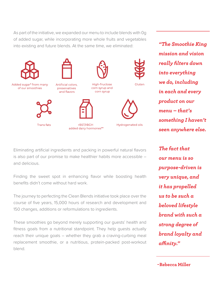As part of the initiative, we expanded our menu to include blends with 0g of added sugar, while incorporating more whole fruits and vegetables into existing and future blends. At the same time, we eliminated:



*"The Smoothie King mission and vision really filters down into everything we do, including in each and every product on our menu – that's something I haven't seen anywhere else.* 

Eliminating artificial ingredients and packing in powerful natural flavors is also part of our promise to make healthier habits more accessible – and delicious.

Finding the sweet spot in enhancing flavor while boosting health benefits didn't come without hard work.

The journey to perfecting the Clean Blends initiative took place over the course of five years, 15,000 hours of research and development and 150 changes, additions or reformulations to ingredients.

These smoothies go beyond merely supporting our guests' health and fitness goals from a nutritional standpoint. They help guests actually reach their unique goals – whether they grab a craving-curbing meal replacement smoothie, or a nutritious, protein-packed post-workout blend.

*The fact that our menu is so purpose-driven is very unique, and it has propelled us to be such a beloved lifestyle brand with such a strong degree of brand loyalty and affinity."*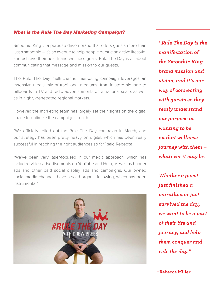#### *What is the Rule The Day Marketing Campaign?*

Smoothie King is a purpose-driven brand that offers guests more than just a smoothie – it's an avenue to help people pursue an active lifestyle, and achieve their health and wellness goals. Rule The Day is all about communicating that message and mission to our guests.

The Rule The Day multi-channel marketing campaign leverages an extensive media mix of traditional mediums, from in-store signage to billboards to TV and radio advertisements on a national scale, as well as in highly-penetrated regional markets.

However, the marketing team has largely set their sights on the digital space to optimize the campaign's reach.

"We officially rolled out the Rule The Day campaign in March, and our strategy has been pretty heavy on digital, which has been really successful in reaching the right audiences so far," said Rebecca.

"We've been very laser-focused in our media approach, which has included video advertisements on YouTube and Hulu, as well as banner ads and other paid social display ads and campaigns. Our owned social media channels have a solid organic following, which has been instrumental."



*"Rule The Day is the manifestation of the Smoothie King brand mission and vision, and it's our way of connecting with guests so they really understand our purpose in wanting to be on that wellness journey with them – whatever it may be.* 

*Whether a guest just finished a marathon or just survived the day, we want to be a part of their life and journey, and help them conquer and rule the day."*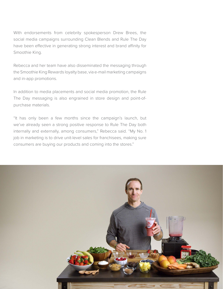With endorsements from celebrity spokesperson Drew Brees, the social media campaigns surrounding Clean Blends and Rule The Day have been effective in generating strong interest and brand affinity for Smoothie King.

Rebecca and her team have also disseminated the messaging through the Smoothie King Rewards loyalty base, via e-mail marketing campaigns and in-app promotions.

In addition to media placements and social media promotion, the Rule The Day messaging is also engrained in store design and point-ofpurchase materials.

"It has only been a few months since the campaign's launch, but we've already seen a strong positive response to Rule The Day both internally and externally, among consumers," Rebecca said. "My No. 1 job in marketing is to drive unit-level sales for franchisees, making sure consumers are buying our products and coming into the stores."

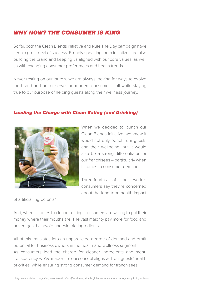#### *WHY NOW? THE CONSUMER IS KING*

So far, both the Clean Blends initiative and Rule The Day campaign have seen a great deal of success. Broadly speaking, both initiatives are also building the brand and keeping us aligned with our core values, as well as with changing consumer preferences and health trends.

Never resting on our laurels, we are always looking for ways to evolve the brand and better serve the modern consumer – all while staying true to our purpose of helping guests along their wellness journey.

#### *Leading the Charge with Clean Eating (and Drinking)*



When we decided to launch our Clean Blends initiative, we knew it would not only benefit our guests and their wellbeing, but it would also be a strong differentiator for our franchisees – particularly when it comes to consumer demand.

Three-fourths of the world's consumers say they're concerned about the long-term health impact

of artificial ingredients.1

And, when it comes to cleaner eating, consumers are willing to put their money where their mouths are. The vast majority pay more for food and beverages that avoid undesirable ingredients.

All of this translates into an unparalleled degree of demand and profit potential for business owners in the health and wellness segment. As consumers lead the charge for cleaner ingredients and menu transparency, we've made sure our concept aligns with our guests' health priorities, while ensuring strong consumer demand for franchisees.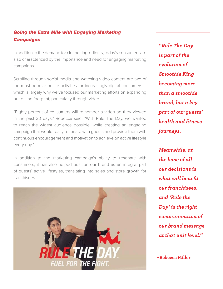#### *Going the Extra Mile with Engaging Marketing Campaigns*

In addition to the demand for cleaner ingredients, today's consumers are also characterized by the importance and need for engaging marketing campaigns.

Scrolling through social media and watching video content are two of the most popular online activities for increasingly digital consumers – which is largely why we've focused our marketing efforts on expanding our online footprint, particularly through video.

"Eighty percent of consumers will remember a video ad they viewed in the past 30 days," Rebecca said. "With Rule The Day, we wanted to reach the widest audience possible, while creating an engaging campaign that would really resonate with guests and provide them with continuous encouragement and motivation to achieve an active lifestyle every day."

In addition to the marketing campaign's ability to resonate with consumers, it has also helped position our brand as an integral part of guests' active lifestyles, translating into sales and store growth for franchisees.



*"Rule The Day is part of the evolution of Smoothie King becoming more than a smoothie brand, but a key part of our guests' health and fitness journeys.*

*Meanwhile, at the base of all our decisions is what will benefit our franchisees, and 'Rule the Day' is the right communication of our brand message at that unit level."* 

**-Rebecca Miller**